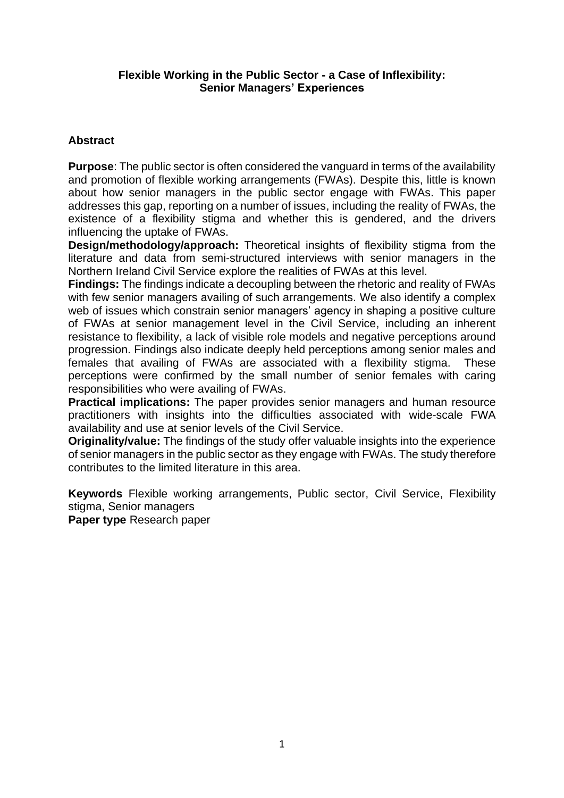# **Flexible Working in the Public Sector - a Case of Inflexibility: Senior Managers' Experiences**

# **Abstract**

**Purpose**: The public sector is often considered the vanguard in terms of the availability and promotion of flexible working arrangements (FWAs). Despite this, little is known about how senior managers in the public sector engage with FWAs. This paper addresses this gap, reporting on a number of issues, including the reality of FWAs, the existence of a flexibility stigma and whether this is gendered, and the drivers influencing the uptake of FWAs.

**Design/methodology/approach:** Theoretical insights of flexibility stigma from the literature and data from semi-structured interviews with senior managers in the Northern Ireland Civil Service explore the realities of FWAs at this level.

**Findings:** The findings indicate a decoupling between the rhetoric and reality of FWAs with few senior managers availing of such arrangements. We also identify a complex web of issues which constrain senior managers' agency in shaping a positive culture of FWAs at senior management level in the Civil Service, including an inherent resistance to flexibility, a lack of visible role models and negative perceptions around progression. Findings also indicate deeply held perceptions among senior males and females that availing of FWAs are associated with a flexibility stigma. These perceptions were confirmed by the small number of senior females with caring responsibilities who were availing of FWAs.

**Practical implications:** The paper provides senior managers and human resource practitioners with insights into the difficulties associated with wide-scale FWA availability and use at senior levels of the Civil Service.

**Originality/value:** The findings of the study offer valuable insights into the experience of senior managers in the public sector as they engage with FWAs. The study therefore contributes to the limited literature in this area.

**Keywords** Flexible working arrangements, Public sector, Civil Service, Flexibility stigma, Senior managers

**Paper type** Research paper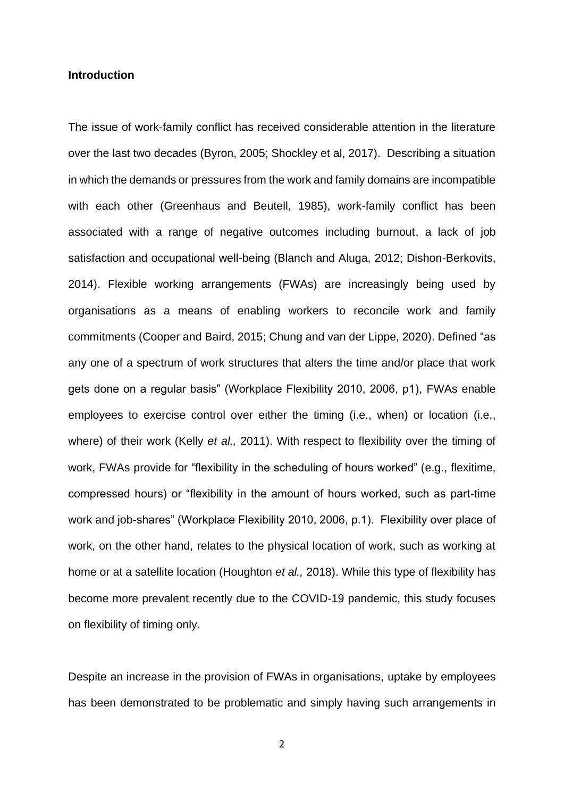#### **Introduction**

The issue of work-family conflict has received considerable attention in the literature over the last two decades (Byron, 2005; Shockley et al, 2017). Describing a situation in which the demands or pressures from the work and family domains are incompatible with each other (Greenhaus and Beutell, 1985), work-family conflict has been associated with a range of negative outcomes including burnout, a lack of job satisfaction and occupational well-being (Blanch and Aluga, 2012; Dishon-Berkovits, 2014). Flexible working arrangements (FWAs) are increasingly being used by organisations as a means of enabling workers to reconcile work and family commitments (Cooper and Baird, 2015; Chung and van der Lippe, 2020). Defined "as any one of a spectrum of work structures that alters the time and/or place that work gets done on a regular basis" (Workplace Flexibility 2010, 2006, p1), FWAs enable employees to exercise control over either the timing (i.e., when) or location (i.e., where) of their work (Kelly *et al.,* 2011). With respect to flexibility over the timing of work, FWAs provide for "flexibility in the scheduling of hours worked" (e.g., flexitime, compressed hours) or "flexibility in the amount of hours worked, such as part-time work and job-shares" (Workplace Flexibility 2010, 2006, p.1). Flexibility over place of work, on the other hand, relates to the physical location of work, such as working at home or at a satellite location (Houghton *et al.,* 2018). While this type of flexibility has become more prevalent recently due to the COVID-19 pandemic, this study focuses on flexibility of timing only.

Despite an increase in the provision of FWAs in organisations, uptake by employees has been demonstrated to be problematic and simply having such arrangements in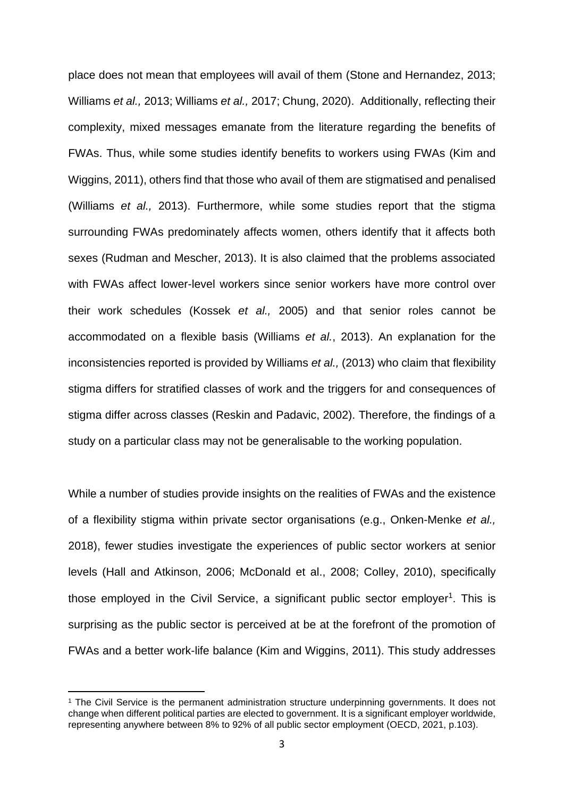place does not mean that employees will avail of them (Stone and Hernandez, 2013; Williams *et al.,* 2013; Williams *et al.,* 2017; Chung, 2020). Additionally, reflecting their complexity, mixed messages emanate from the literature regarding the benefits of FWAs. Thus, while some studies identify benefits to workers using FWAs (Kim and Wiggins, 2011), others find that those who avail of them are stigmatised and penalised (Williams *et al.,* 2013). Furthermore, while some studies report that the stigma surrounding FWAs predominately affects women, others identify that it affects both sexes (Rudman and Mescher, 2013). It is also claimed that the problems associated with FWAs affect lower-level workers since senior workers have more control over their work schedules (Kossek *et al.,* 2005) and that senior roles cannot be accommodated on a flexible basis (Williams *et al.*, 2013). An explanation for the inconsistencies reported is provided by Williams *et al.,* (2013) who claim that flexibility stigma differs for stratified classes of work and the triggers for and consequences of stigma differ across classes (Reskin and Padavic, 2002). Therefore, the findings of a study on a particular class may not be generalisable to the working population.

While a number of studies provide insights on the realities of FWAs and the existence of a flexibility stigma within private sector organisations (e.g., Onken-Menke *et al.,*  2018), fewer studies investigate the experiences of public sector workers at senior levels (Hall and Atkinson, 2006; McDonald et al., 2008; Colley, 2010), specifically those employed in the Civil Service, a significant public sector employer<sup>1</sup>. This is surprising as the public sector is perceived at be at the forefront of the promotion of FWAs and a better work-life balance (Kim and Wiggins, 2011). This study addresses

<sup>1</sup> The Civil Service is the permanent administration structure underpinning governments. It does not change when different political parties are elected to government. It is a significant employer worldwide, representing anywhere between 8% to 92% of all public sector employment (OECD, 2021, p.103).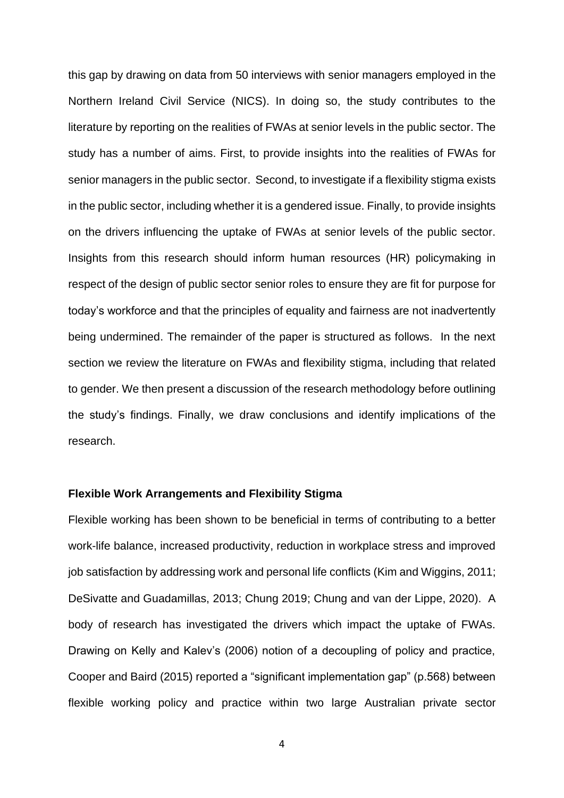this gap by drawing on data from 50 interviews with senior managers employed in the Northern Ireland Civil Service (NICS). In doing so, the study contributes to the literature by reporting on the realities of FWAs at senior levels in the public sector. The study has a number of aims. First, to provide insights into the realities of FWAs for senior managers in the public sector. Second, to investigate if a flexibility stigma exists in the public sector, including whether it is a gendered issue. Finally, to provide insights on the drivers influencing the uptake of FWAs at senior levels of the public sector. Insights from this research should inform human resources (HR) policymaking in respect of the design of public sector senior roles to ensure they are fit for purpose for today's workforce and that the principles of equality and fairness are not inadvertently being undermined. The remainder of the paper is structured as follows. In the next section we review the literature on FWAs and flexibility stigma, including that related to gender. We then present a discussion of the research methodology before outlining the study's findings. Finally, we draw conclusions and identify implications of the research.

## **Flexible Work Arrangements and Flexibility Stigma**

Flexible working has been shown to be beneficial in terms of contributing to a better work-life balance, increased productivity, reduction in workplace stress and improved job satisfaction by addressing work and personal life conflicts (Kim and Wiggins, 2011; DeSivatte and Guadamillas, 2013; Chung 2019; Chung and van der Lippe, 2020). A body of research has investigated the drivers which impact the uptake of FWAs. Drawing on Kelly and Kalev's (2006) notion of a decoupling of policy and practice, Cooper and Baird (2015) reported a "significant implementation gap" (p.568) between flexible working policy and practice within two large Australian private sector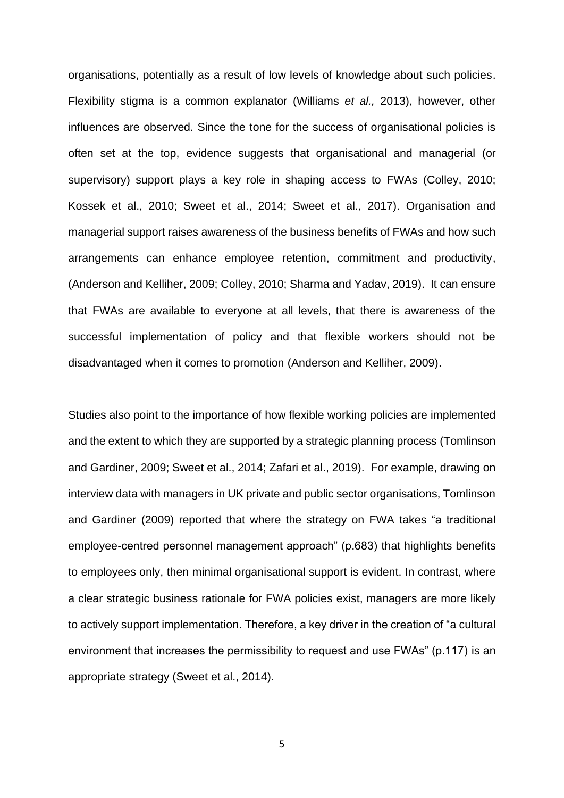organisations, potentially as a result of low levels of knowledge about such policies. Flexibility stigma is a common explanator (Williams *et al.,* 2013), however, other influences are observed. Since the tone for the success of organisational policies is often set at the top, evidence suggests that organisational and managerial (or supervisory) support plays a key role in shaping access to FWAs (Colley, 2010; Kossek et al., 2010; Sweet et al., 2014; Sweet et al., 2017). Organisation and managerial support raises awareness of the business benefits of FWAs and how such arrangements can enhance employee retention, commitment and productivity, (Anderson and Kelliher, 2009; Colley, 2010; Sharma and Yadav, 2019). It can ensure that FWAs are available to everyone at all levels, that there is awareness of the successful implementation of policy and that flexible workers should not be disadvantaged when it comes to promotion (Anderson and Kelliher, 2009).

Studies also point to the importance of how flexible working policies are implemented and the extent to which they are supported by a strategic planning process (Tomlinson and Gardiner, 2009; Sweet et al., 2014; Zafari et al., 2019). For example, drawing on interview data with managers in UK private and public sector organisations, Tomlinson and Gardiner (2009) reported that where the strategy on FWA takes "a traditional employee-centred personnel management approach" (p.683) that highlights benefits to employees only, then minimal organisational support is evident. In contrast, where a clear strategic business rationale for FWA policies exist, managers are more likely to actively support implementation. Therefore, a key driver in the creation of "a cultural environment that increases the permissibility to request and use FWAs" (p.117) is an appropriate strategy (Sweet et al., 2014).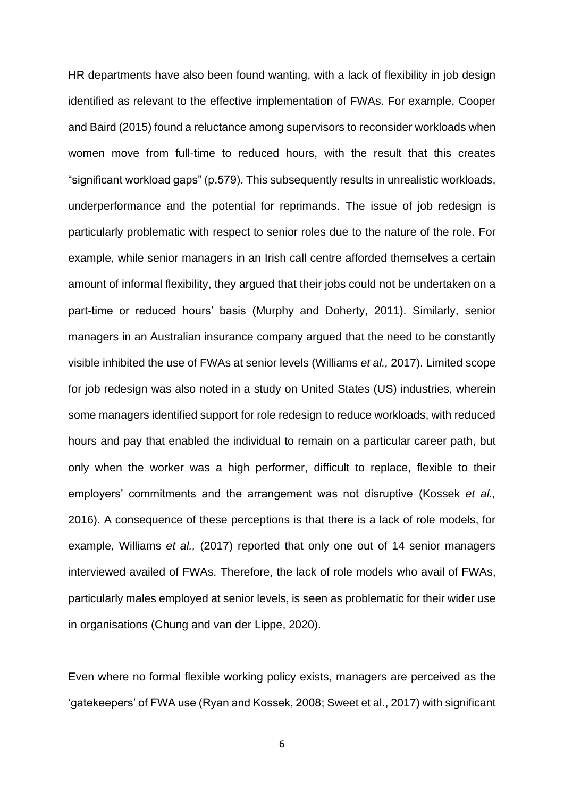HR departments have also been found wanting, with a lack of flexibility in job design identified as relevant to the effective implementation of FWAs. For example, Cooper and Baird (2015) found a reluctance among supervisors to reconsider workloads when women move from full-time to reduced hours, with the result that this creates "significant workload gaps" (p.579). This subsequently results in unrealistic workloads, underperformance and the potential for reprimands. The issue of job redesign is particularly problematic with respect to senior roles due to the nature of the role. For example, while senior managers in an Irish call centre afforded themselves a certain amount of informal flexibility, they argued that their jobs could not be undertaken on a part-time or reduced hours' basis (Murphy and Doherty, 2011). Similarly, senior managers in an Australian insurance company argued that the need to be constantly visible inhibited the use of FWAs at senior levels (Williams *et al.,* 2017). Limited scope for job redesign was also noted in a study on United States (US) industries, wherein some managers identified support for role redesign to reduce workloads, with reduced hours and pay that enabled the individual to remain on a particular career path, but only when the worker was a high performer, difficult to replace, flexible to their employers' commitments and the arrangement was not disruptive (Kossek *et al.,* 2016). A consequence of these perceptions is that there is a lack of role models, for example, Williams *et al.,* (2017) reported that only one out of 14 senior managers interviewed availed of FWAs. Therefore, the lack of role models who avail of FWAs, particularly males employed at senior levels, is seen as problematic for their wider use in organisations (Chung and van der Lippe, 2020).

Even where no formal flexible working policy exists, managers are perceived as the 'gatekeepers' of FWA use (Ryan and Kossek, 2008; Sweet et al., 2017) with significant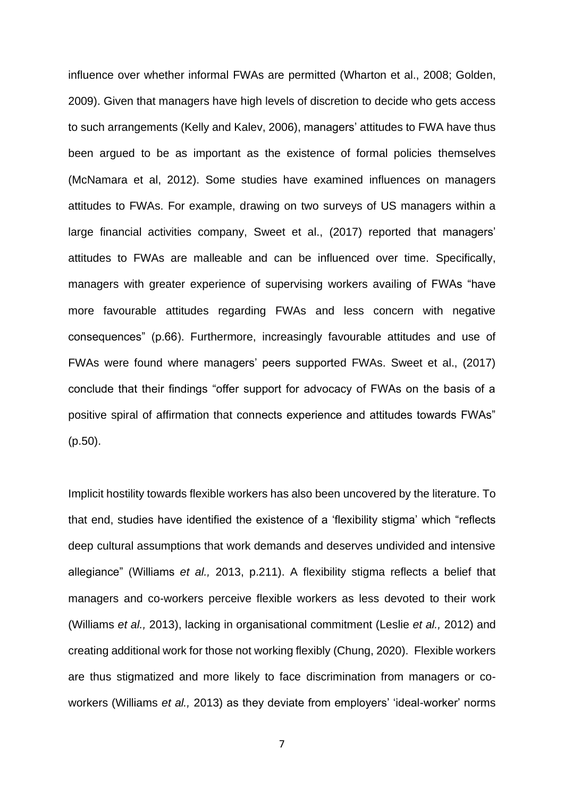influence over whether informal FWAs are permitted (Wharton et al., 2008; Golden, 2009). Given that managers have high levels of discretion to decide who gets access to such arrangements (Kelly and Kalev, 2006), managers' attitudes to FWA have thus been argued to be as important as the existence of formal policies themselves (McNamara et al, 2012). Some studies have examined influences on managers attitudes to FWAs. For example, drawing on two surveys of US managers within a large financial activities company, Sweet et al., (2017) reported that managers' attitudes to FWAs are malleable and can be influenced over time. Specifically, managers with greater experience of supervising workers availing of FWAs "have more favourable attitudes regarding FWAs and less concern with negative consequences" (p.66). Furthermore, increasingly favourable attitudes and use of FWAs were found where managers' peers supported FWAs. Sweet et al., (2017) conclude that their findings "offer support for advocacy of FWAs on the basis of a positive spiral of affirmation that connects experience and attitudes towards FWAs" (p.50).

Implicit hostility towards flexible workers has also been uncovered by the literature. To that end, studies have identified the existence of a 'flexibility stigma' which "reflects deep cultural assumptions that work demands and deserves undivided and intensive allegiance" (Williams *et al.,* 2013, p.211). A flexibility stigma reflects a belief that managers and co-workers perceive flexible workers as less devoted to their work (Williams *et al.,* 2013), lacking in organisational commitment (Leslie *et al.,* 2012) and creating additional work for those not working flexibly (Chung, 2020). Flexible workers are thus stigmatized and more likely to face discrimination from managers or coworkers (Williams *et al.,* 2013) as they deviate from employers' 'ideal-worker' norms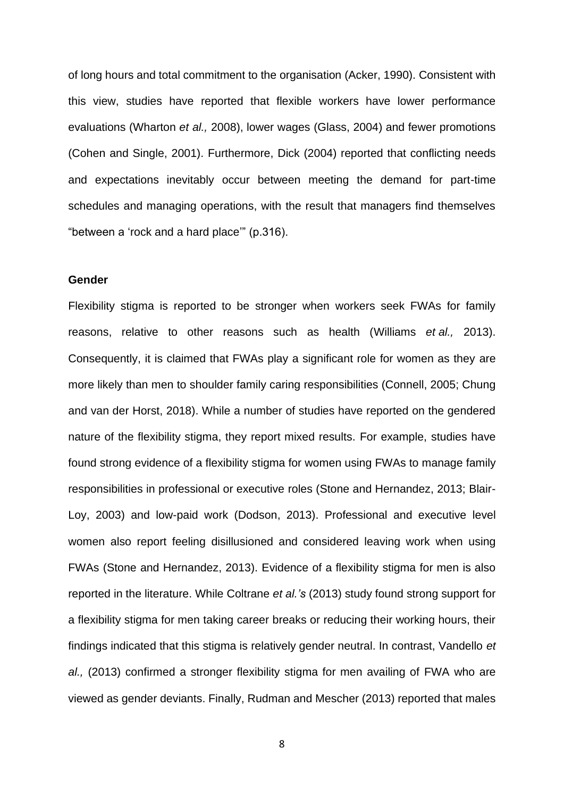of long hours and total commitment to the organisation (Acker, 1990). Consistent with this view, studies have reported that flexible workers have lower performance evaluations (Wharton *et al.,* 2008), lower wages (Glass, 2004) and fewer promotions (Cohen and Single, 2001). Furthermore, Dick (2004) reported that conflicting needs and expectations inevitably occur between meeting the demand for part-time schedules and managing operations, with the result that managers find themselves "between a 'rock and a hard place'" (p.316).

#### **Gender**

Flexibility stigma is reported to be stronger when workers seek FWAs for family reasons, relative to other reasons such as health (Williams *et al.,* 2013). Consequently, it is claimed that FWAs play a significant role for women as they are more likely than men to shoulder family caring responsibilities (Connell, 2005; Chung and van der Horst, 2018). While a number of studies have reported on the gendered nature of the flexibility stigma, they report mixed results. For example, studies have found strong evidence of a flexibility stigma for women using FWAs to manage family responsibilities in professional or executive roles (Stone and Hernandez, 2013; Blair-Loy, 2003) and low-paid work (Dodson, 2013). Professional and executive level women also report feeling disillusioned and considered leaving work when using FWAs (Stone and Hernandez, 2013). Evidence of a flexibility stigma for men is also reported in the literature. While Coltrane *et al.'s* (2013) study found strong support for a flexibility stigma for men taking career breaks or reducing their working hours, their findings indicated that this stigma is relatively gender neutral. In contrast, Vandello *et al.,* (2013) confirmed a stronger flexibility stigma for men availing of FWA who are viewed as gender deviants. Finally, Rudman and Mescher (2013) reported that males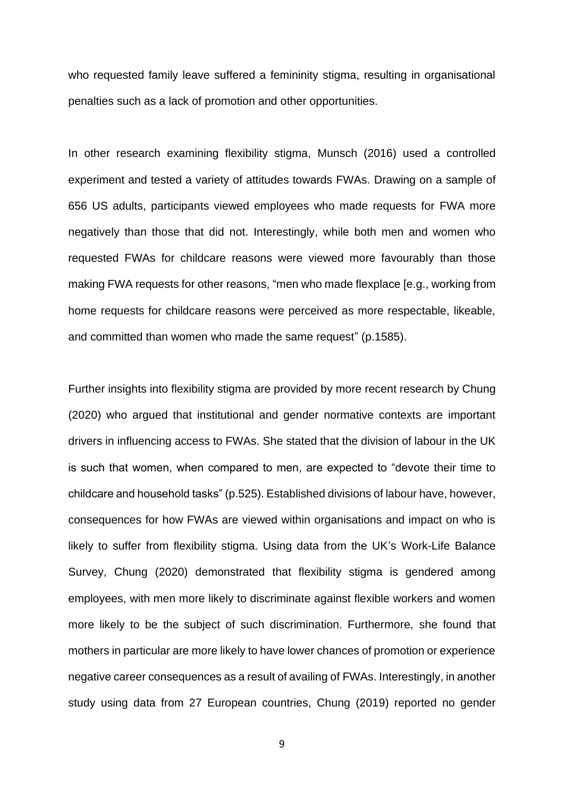who requested family leave suffered a femininity stigma, resulting in organisational penalties such as a lack of promotion and other opportunities.

In other research examining flexibility stigma, Munsch (2016) used a controlled experiment and tested a variety of attitudes towards FWAs. Drawing on a sample of 656 US adults, participants viewed employees who made requests for FWA more negatively than those that did not. Interestingly, while both men and women who requested FWAs for childcare reasons were viewed more favourably than those making FWA requests for other reasons, "men who made flexplace [e.g., working from home requests for childcare reasons were perceived as more respectable, likeable, and committed than women who made the same request" (p.1585).

Further insights into flexibility stigma are provided by more recent research by Chung (2020) who argued that institutional and gender normative contexts are important drivers in influencing access to FWAs. She stated that the division of labour in the UK is such that women, when compared to men, are expected to "devote their time to childcare and household tasks" (p.525). Established divisions of labour have, however, consequences for how FWAs are viewed within organisations and impact on who is likely to suffer from flexibility stigma. Using data from the UK's Work-Life Balance Survey, Chung (2020) demonstrated that flexibility stigma is gendered among employees, with men more likely to discriminate against flexible workers and women more likely to be the subject of such discrimination. Furthermore, she found that mothers in particular are more likely to have lower chances of promotion or experience negative career consequences as a result of availing of FWAs. Interestingly, in another study using data from 27 European countries, Chung (2019) reported no gender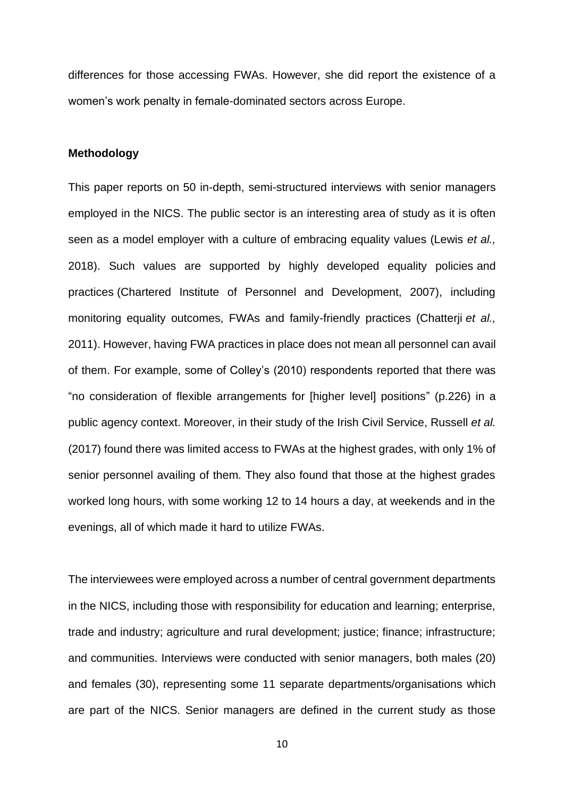differences for those accessing FWAs. However, she did report the existence of a women's work penalty in female-dominated sectors across Europe.

## **Methodology**

This paper reports on 50 in-depth, semi-structured interviews with senior managers employed in the NICS. The public sector is an interesting area of study as it is often seen as a model employer with a culture of embracing equality values (Lewis *et al.,* 2018). Such values are supported by highly developed equality policies and practices (Chartered Institute of Personnel and Development, 2007), including monitoring equality outcomes, FWAs and family-friendly practices (Chatterji *et al.,* 2011). However, having FWA practices in place does not mean all personnel can avail of them. For example, some of Colley's (2010) respondents reported that there was "no consideration of flexible arrangements for [higher level] positions" (p.226) in a public agency context. Moreover, in their study of the Irish Civil Service, Russell *et al.* (2017) found there was limited access to FWAs at the highest grades, with only 1% of senior personnel availing of them. They also found that those at the highest grades worked long hours, with some working 12 to 14 hours a day, at weekends and in the evenings, all of which made it hard to utilize FWAs.

The interviewees were employed across a number of central government departments in the NICS, including those with responsibility for education and learning; enterprise, trade and industry; agriculture and rural development; justice; finance; infrastructure; and communities. Interviews were conducted with senior managers, both males (20) and females (30), representing some 11 separate departments/organisations which are part of the NICS. Senior managers are defined in the current study as those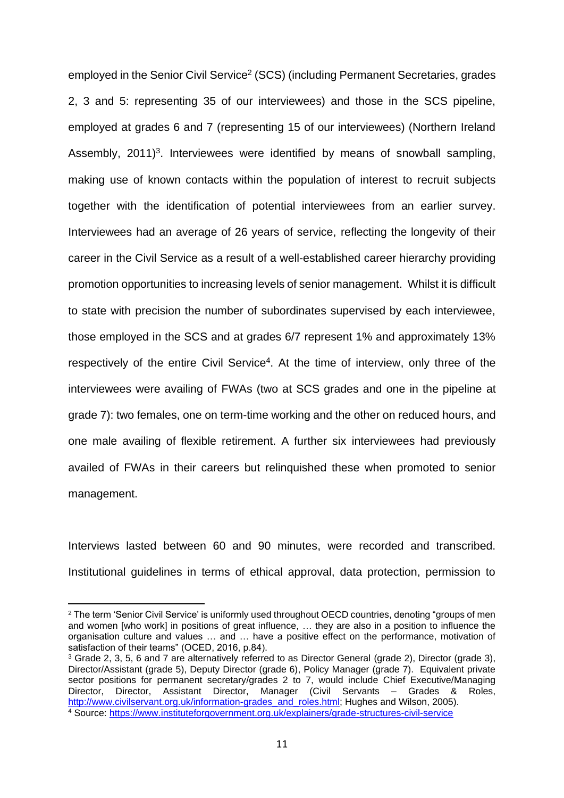employed in the Senior Civil Service<sup>2</sup> (SCS) (including Permanent Secretaries, grades 2, 3 and 5: representing 35 of our interviewees) and those in the SCS pipeline, employed at grades 6 and 7 (representing 15 of our interviewees) (Northern Ireland Assembly,  $2011$ <sup>3</sup>. Interviewees were identified by means of snowball sampling, making use of known contacts within the population of interest to recruit subjects together with the identification of potential interviewees from an earlier survey. Interviewees had an average of 26 years of service, reflecting the longevity of their career in the Civil Service as a result of a well-established career hierarchy providing promotion opportunities to increasing levels of senior management. Whilst it is difficult to state with precision the number of subordinates supervised by each interviewee, those employed in the SCS and at grades 6/7 represent 1% and approximately 13% respectively of the entire Civil Service<sup>4</sup>. At the time of interview, only three of the interviewees were availing of FWAs (two at SCS grades and one in the pipeline at grade 7): two females, one on term-time working and the other on reduced hours, and one male availing of flexible retirement. A further six interviewees had previously availed of FWAs in their careers but relinquished these when promoted to senior management.

Interviews lasted between 60 and 90 minutes, were recorded and transcribed. Institutional guidelines in terms of ethical approval, data protection, permission to

<sup>2</sup> The term 'Senior Civil Service' is uniformly used throughout OECD countries, denoting "groups of men and women [who work] in positions of great influence, … they are also in a position to influence the organisation culture and values … and … have a positive effect on the performance, motivation of satisfaction of their teams" (OCED, 2016, p.84).

<sup>3</sup> Grade 2, 3, 5, 6 and 7 are alternatively referred to as Director General (grade 2), Director (grade 3), Director/Assistant (grade 5), Deputy Director (grade 6), Policy Manager (grade 7). Equivalent private sector positions for permanent secretary/grades 2 to 7, would include Chief Executive/Managing Director, Director, Assistant Director, Manager (Civil Servants – Grades & Roles, [http://www.civilservant.org.uk/information-grades\\_and\\_roles.html;](about:blank) Hughes and Wilson, 2005). <sup>4</sup> Source: [https://www.instituteforgovernment.org.uk/explainers/grade-structures-civil-service](about:blank)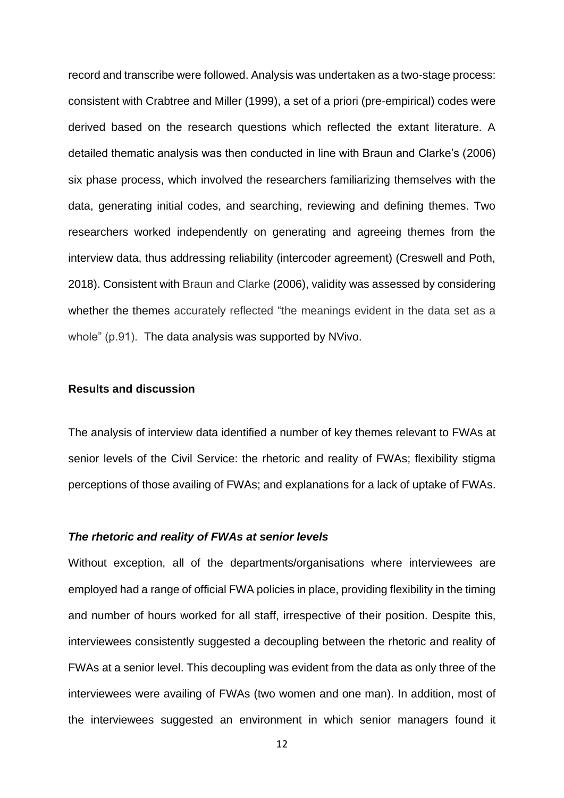record and transcribe were followed. Analysis was undertaken as a two-stage process: consistent with Crabtree and Miller (1999), a set of a priori (pre-empirical) codes were derived based on the research questions which reflected the extant literature. A detailed thematic analysis was then conducted in line with Braun and Clarke's (2006) six phase process, which involved the researchers familiarizing themselves with the data, generating initial codes, and searching, reviewing and defining themes. Two researchers worked independently on generating and agreeing themes from the interview data, thus addressing reliability (intercoder agreement) (Creswell and Poth, 2018). Consistent with Braun and Clarke (2006), validity was assessed by considering whether the themes accurately reflected "the meanings evident in the data set as a whole" (p.91). The data analysis was supported by NVivo.

## **Results and discussion**

The analysis of interview data identified a number of key themes relevant to FWAs at senior levels of the Civil Service: the rhetoric and reality of FWAs; flexibility stigma perceptions of those availing of FWAs; and explanations for a lack of uptake of FWAs.

#### *The rhetoric and reality of FWAs at senior levels*

Without exception, all of the departments/organisations where interviewees are employed had a range of official FWA policies in place, providing flexibility in the timing and number of hours worked for all staff, irrespective of their position. Despite this, interviewees consistently suggested a decoupling between the rhetoric and reality of FWAs at a senior level. This decoupling was evident from the data as only three of the interviewees were availing of FWAs (two women and one man). In addition, most of the interviewees suggested an environment in which senior managers found it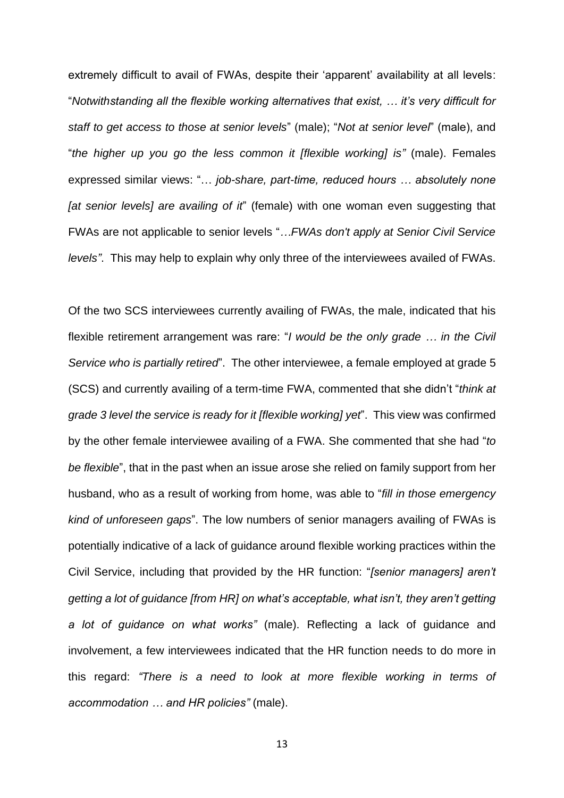extremely difficult to avail of FWAs, despite their 'apparent' availability at all levels: "*Notwithstanding all the flexible working alternatives that exist, … it's very difficult for staff to get access to those at senior levels*" (male); "*Not at senior level*" (male), and "*the higher up you go the less common it [flexible working] is"* (male). Females expressed similar views: "… *job-share, part-time, reduced hours … absolutely none [at senior levels] are availing of it*" (female) with one woman even suggesting that FWAs are not applicable to senior levels "*…FWAs don't apply at Senior Civil Service levels"*. This may help to explain why only three of the interviewees availed of FWAs.

Of the two SCS interviewees currently availing of FWAs, the male, indicated that his flexible retirement arrangement was rare: "*I would be the only grade … in the Civil Service who is partially retired*". The other interviewee, a female employed at grade 5 (SCS) and currently availing of a term-time FWA, commented that she didn't "*think at grade 3 level the service is ready for it [flexible working] yet*". This view was confirmed by the other female interviewee availing of a FWA. She commented that she had "*to be flexible*", that in the past when an issue arose she relied on family support from her husband, who as a result of working from home, was able to "*fill in those emergency kind of unforeseen gaps*". The low numbers of senior managers availing of FWAs is potentially indicative of a lack of guidance around flexible working practices within the Civil Service, including that provided by the HR function: "*[senior managers] aren't getting a lot of guidance [from HR] on what's acceptable, what isn't, they aren't getting a lot of guidance on what works"* (male). Reflecting a lack of guidance and involvement, a few interviewees indicated that the HR function needs to do more in this regard: *"There is a need to look at more flexible working in terms of accommodation … and HR policies"* (male).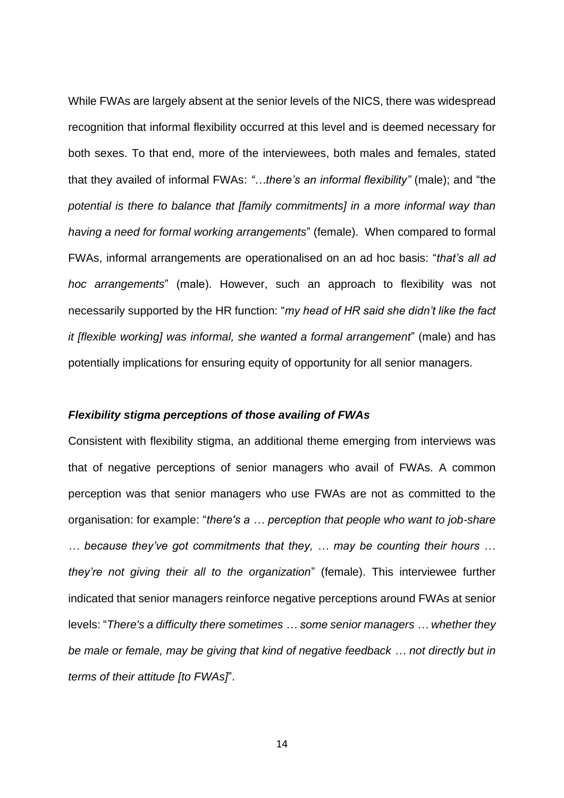While FWAs are largely absent at the senior levels of the NICS, there was widespread recognition that informal flexibility occurred at this level and is deemed necessary for both sexes. To that end, more of the interviewees, both males and females, stated that they availed of informal FWAs: *"…there's an informal flexibility"* (male); and "the *potential is there to balance that [family commitments] in a more informal way than having a need for formal working arrangements*" (female). When compared to formal FWAs, informal arrangements are operationalised on an ad hoc basis: "*that's all ad hoc arrangements*" (male). However, such an approach to flexibility was not necessarily supported by the HR function: "*my head of HR said she didn't like the fact it [flexible working] was informal, she wanted a formal arrangement*" (male) and has potentially implications for ensuring equity of opportunity for all senior managers.

## *Flexibility stigma perceptions of those availing of FWAs*

Consistent with flexibility stigma, an additional theme emerging from interviews was that of negative perceptions of senior managers who avail of FWAs. A common perception was that senior managers who use FWAs are not as committed to the organisation: for example: "*there's a … perception that people who want to job-share … because they've got commitments that they, … may be counting their hours … they're not giving their all to the organization*" (female). This interviewee further indicated that senior managers reinforce negative perceptions around FWAs at senior levels: "*There's a difficulty there sometimes … some senior managers … whether they be male or female, may be giving that kind of negative feedback … not directly but in terms of their attitude [to FWAs]*".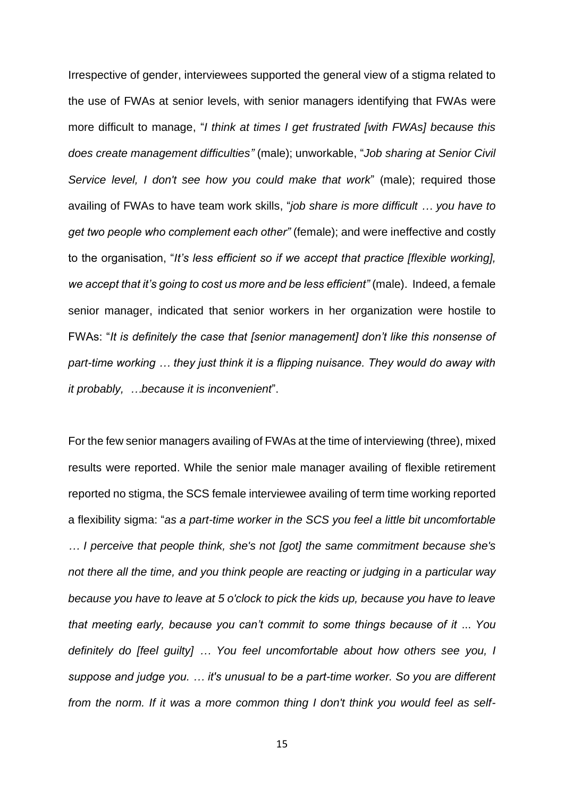Irrespective of gender, interviewees supported the general view of a stigma related to the use of FWAs at senior levels, with senior managers identifying that FWAs were more difficult to manage, "*I think at times I get frustrated [with FWAs] because this does create management difficulties"* (male); unworkable, "*Job sharing at Senior Civil Service level, I don't see how you could make that work*" (male); required those availing of FWAs to have team work skills, "*job share is more difficult … you have to get two people who complement each other"* (female); and were ineffective and costly to the organisation, "*It's less efficient so if we accept that practice [flexible working], we accept that it's going to cost us more and be less efficient"* (male). Indeed, a female senior manager, indicated that senior workers in her organization were hostile to FWAs: "*It is definitely the case that [senior management] don't like this nonsense of part-time working … they just think it is a flipping nuisance. They would do away with it probably, …because it is inconvenient*".

For the few senior managers availing of FWAs at the time of interviewing (three), mixed results were reported. While the senior male manager availing of flexible retirement reported no stigma, the SCS female interviewee availing of term time working reported a flexibility sigma: "*as a part-time worker in the SCS you feel a little bit uncomfortable … I perceive that people think, she's not [got] the same commitment because she's not there all the time, and you think people are reacting or judging in a particular way because you have to leave at 5 o'clock to pick the kids up, because you have to leave that meeting early, because you can't commit to some things because of it* ... *You definitely do [feel guilty] … You feel uncomfortable about how others see you, I suppose and judge you. … it's unusual to be a part-time worker. So you are different from the norm. If it was a more common thing I don't think you would feel as self-*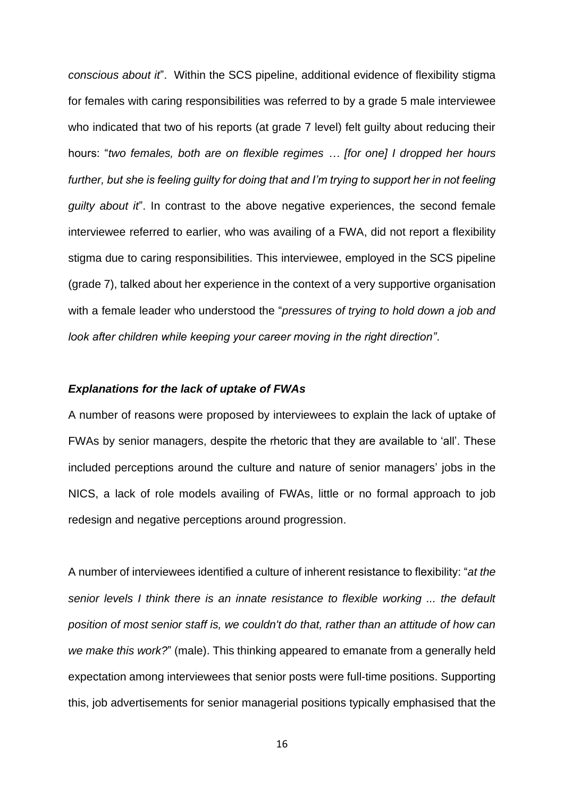*conscious about it*". Within the SCS pipeline, additional evidence of flexibility stigma for females with caring responsibilities was referred to by a grade 5 male interviewee who indicated that two of his reports (at grade 7 level) felt guilty about reducing their hours: "*two females, both are on flexible regimes … [for one] I dropped her hours further, but she is feeling guilty for doing that and I'm trying to support her in not feeling guilty about it*". In contrast to the above negative experiences, the second female interviewee referred to earlier, who was availing of a FWA, did not report a flexibility stigma due to caring responsibilities. This interviewee, employed in the SCS pipeline (grade 7), talked about her experience in the context of a very supportive organisation with a female leader who understood the "*pressures of trying to hold down a job and look after children while keeping your career moving in the right direction"*.

#### *Explanations for the lack of uptake of FWAs*

A number of reasons were proposed by interviewees to explain the lack of uptake of FWAs by senior managers, despite the rhetoric that they are available to 'all'. These included perceptions around the culture and nature of senior managers' jobs in the NICS, a lack of role models availing of FWAs, little or no formal approach to job redesign and negative perceptions around progression.

A number of interviewees identified a culture of inherent resistance to flexibility: "*at the senior levels I think there is an innate resistance to flexible working ... the default position of most senior staff is, we couldn't do that, rather than an attitude of how can we make this work?*" (male). This thinking appeared to emanate from a generally held expectation among interviewees that senior posts were full-time positions. Supporting this, job advertisements for senior managerial positions typically emphasised that the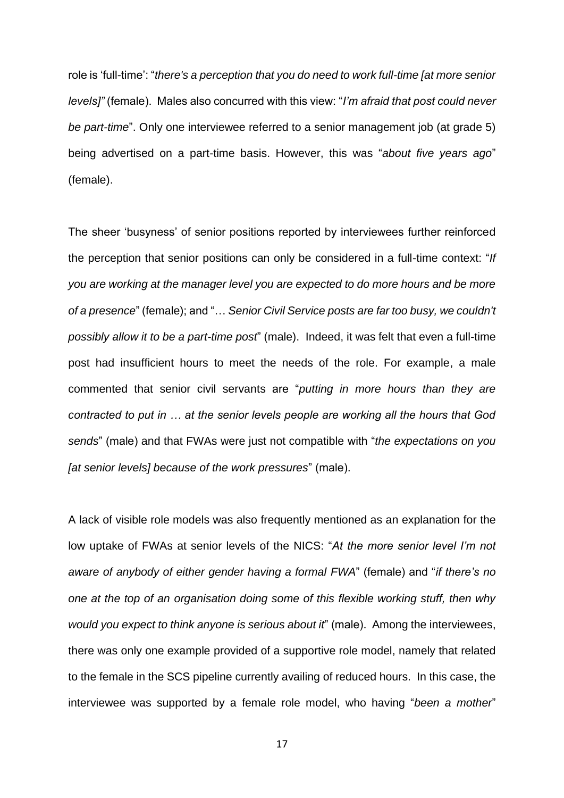role is 'full-time': "*there's a perception that you do need to work full-time [at more senior levels]"* (female). Males also concurred with this view: "*I'm afraid that post could never be part-time*". Only one interviewee referred to a senior management job (at grade 5) being advertised on a part-time basis. However, this was "*about five years ago*" (female).

The sheer 'busyness' of senior positions reported by interviewees further reinforced the perception that senior positions can only be considered in a full-time context: "*If you are working at the manager level you are expected to do more hours and be more of a presence*" (female); and "… *Senior Civil Service posts are far too busy, we couldn't possibly allow it to be a part-time post*" (male). Indeed, it was felt that even a full-time post had insufficient hours to meet the needs of the role. For example, a male commented that senior civil servants are "*putting in more hours than they are contracted to put in … at the senior levels people are working all the hours that God sends*" (male) and that FWAs were just not compatible with "*the expectations on you [at senior levels] because of the work pressures*" (male).

A lack of visible role models was also frequently mentioned as an explanation for the low uptake of FWAs at senior levels of the NICS: "*At the more senior level I'm not aware of anybody of either gender having a formal FWA*" (female) and "*if there's no one at the top of an organisation doing some of this flexible working stuff, then why would you expect to think anyone is serious about it*" (male). Among the interviewees, there was only one example provided of a supportive role model, namely that related to the female in the SCS pipeline currently availing of reduced hours. In this case, the interviewee was supported by a female role model, who having "*been a mother*"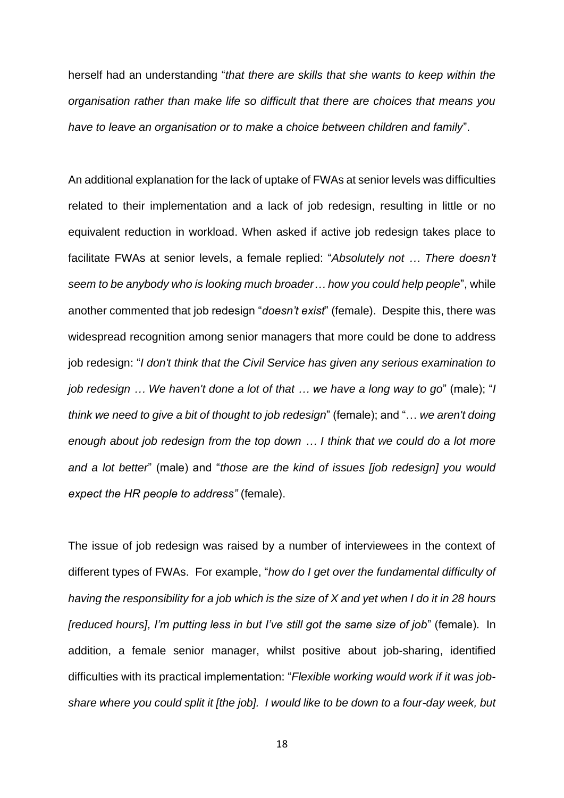herself had an understanding "*that there are skills that she wants to keep within the organisation rather than make life so difficult that there are choices that means you have to leave an organisation or to make a choice between children and family*".

An additional explanation for the lack of uptake of FWAs at senior levels was difficulties related to their implementation and a lack of job redesign, resulting in little or no equivalent reduction in workload. When asked if active job redesign takes place to facilitate FWAs at senior levels, a female replied: "*Absolutely not … There doesn't seem to be anybody who is looking much broader… how you could help people*", while another commented that job redesign "*doesn't exist*" (female). Despite this, there was widespread recognition among senior managers that more could be done to address job redesign: "*I don't think that the Civil Service has given any serious examination to job redesign … We haven't done a lot of that … we have a long way to go*" (male); "*I think we need to give a bit of thought to job redesign*" (female); and "… *we aren't doing enough about job redesign from the top down … I think that we could do a lot more and a lot better*" (male) and "*those are the kind of issues [job redesign] you would expect the HR people to address"* (female).

The issue of job redesign was raised by a number of interviewees in the context of different types of FWAs. For example, "*how do I get over the fundamental difficulty of having the responsibility for a job which is the size of X and yet when I do it in 28 hours [reduced hours], I'm putting less in but I've still got the same size of job*" (female). In addition, a female senior manager, whilst positive about job-sharing, identified difficulties with its practical implementation: "*Flexible working would work if it was jobshare where you could split it [the job]. I would like to be down to a four-day week, but*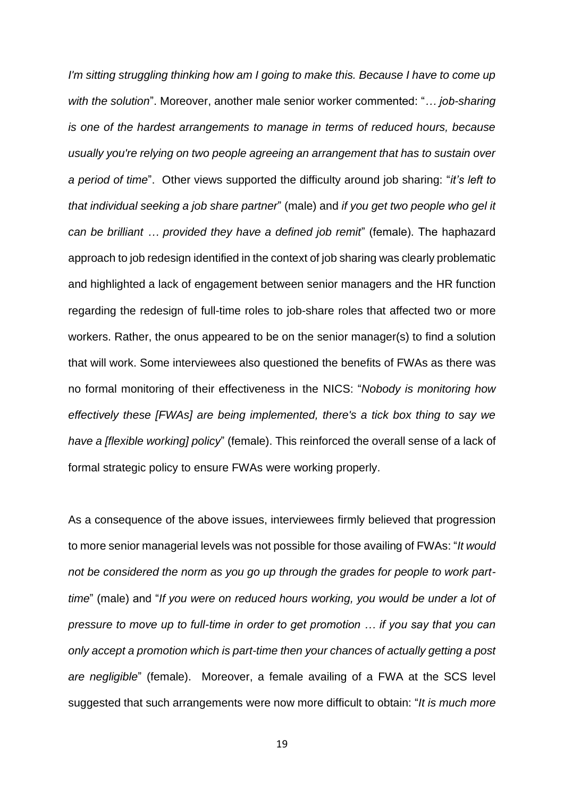*I'm sitting struggling thinking how am I going to make this. Because I have to come up with the solution*". Moreover, another male senior worker commented: "*… job-sharing is one of the hardest arrangements to manage in terms of reduced hours, because usually you're relying on two people agreeing an arrangement that has to sustain over a period of time*". Other views supported the difficulty around job sharing: "*it's left to that individual seeking a job share partner*" (male) and *if you get two people who gel it can be brilliant … provided they have a defined job remit*" (female). The haphazard approach to job redesign identified in the context of job sharing was clearly problematic and highlighted a lack of engagement between senior managers and the HR function regarding the redesign of full-time roles to job-share roles that affected two or more workers. Rather, the onus appeared to be on the senior manager(s) to find a solution that will work. Some interviewees also questioned the benefits of FWAs as there was no formal monitoring of their effectiveness in the NICS: "*Nobody is monitoring how effectively these [FWAs] are being implemented, there's a tick box thing to say we have a [flexible working] policy*" (female). This reinforced the overall sense of a lack of formal strategic policy to ensure FWAs were working properly.

As a consequence of the above issues, interviewees firmly believed that progression to more senior managerial levels was not possible for those availing of FWAs: "*It would not be considered the norm as you go up through the grades for people to work parttime*" (male) and "*If you were on reduced hours working, you would be under a lot of pressure to move up to full-time in order to get promotion … if you say that you can only accept a promotion which is part-time then your chances of actually getting a post are negligible*" (female). Moreover, a female availing of a FWA at the SCS level suggested that such arrangements were now more difficult to obtain: "*It is much more*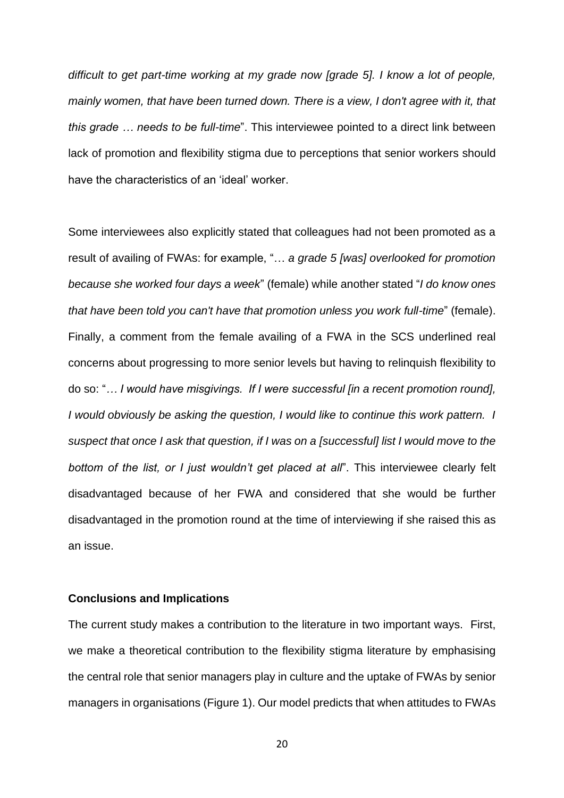*difficult to get part-time working at my grade now [grade 5]. I know a lot of people, mainly women, that have been turned down. There is a view, I don't agree with it, that this grade … needs to be full-time*". This interviewee pointed to a direct link between lack of promotion and flexibility stigma due to perceptions that senior workers should have the characteristics of an 'ideal' worker.

Some interviewees also explicitly stated that colleagues had not been promoted as a result of availing of FWAs: for example, "… *a grade 5 [was] overlooked for promotion because she worked four days a week*" (female) while another stated "*I do know ones that have been told you can't have that promotion unless you work full-time*" (female). Finally, a comment from the female availing of a FWA in the SCS underlined real concerns about progressing to more senior levels but having to relinquish flexibility to do so: "*… I would have misgivings. If I were successful [in a recent promotion round], I* would obviously be asking the question, *I* would like to continue this work pattern. *I suspect that once I ask that question, if I was on a [successful] list I would move to the bottom of the list, or I just wouldn't get placed at all*". This interviewee clearly felt disadvantaged because of her FWA and considered that she would be further disadvantaged in the promotion round at the time of interviewing if she raised this as an issue.

## **Conclusions and Implications**

The current study makes a contribution to the literature in two important ways. First, we make a theoretical contribution to the flexibility stigma literature by emphasising the central role that senior managers play in culture and the uptake of FWAs by senior managers in organisations (Figure 1). Our model predicts that when attitudes to FWAs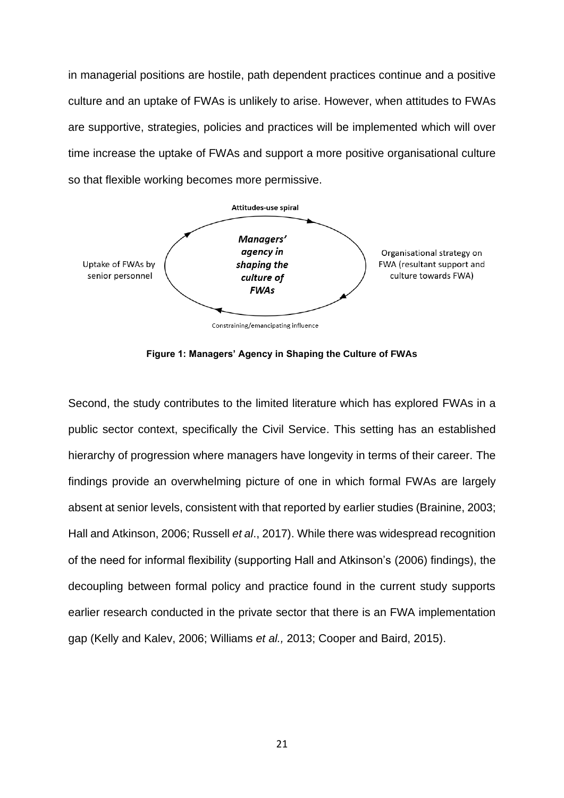in managerial positions are hostile, path dependent practices continue and a positive culture and an uptake of FWAs is unlikely to arise. However, when attitudes to FWAs are supportive, strategies, policies and practices will be implemented which will over time increase the uptake of FWAs and support a more positive organisational culture so that flexible working becomes more permissive.



Constraining/emancipating influence



Second, the study contributes to the limited literature which has explored FWAs in a public sector context, specifically the Civil Service. This setting has an established hierarchy of progression where managers have longevity in terms of their career. The findings provide an overwhelming picture of one in which formal FWAs are largely absent at senior levels, consistent with that reported by earlier studies (Brainine, 2003; Hall and Atkinson, 2006; Russell *et al*., 2017). While there was widespread recognition of the need for informal flexibility (supporting Hall and Atkinson's (2006) findings), the decoupling between formal policy and practice found in the current study supports earlier research conducted in the private sector that there is an FWA implementation gap (Kelly and Kalev, 2006; Williams *et al.,* 2013; Cooper and Baird, 2015).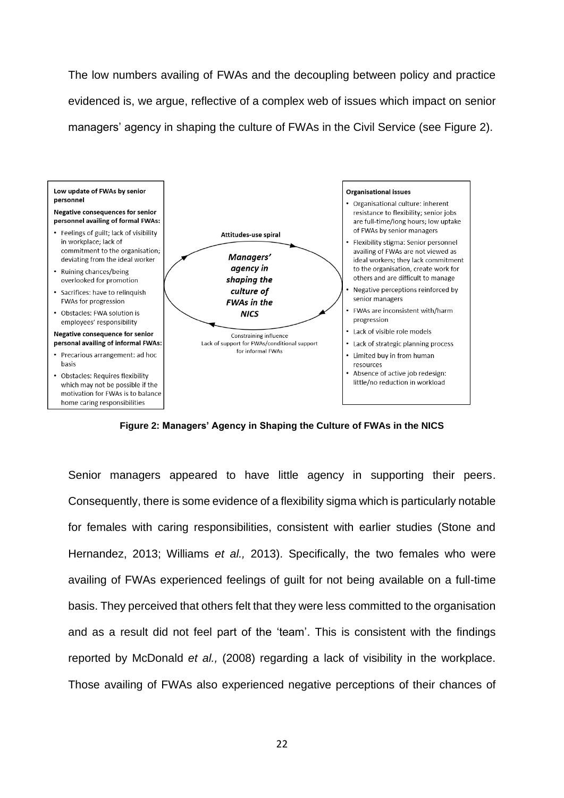The low numbers availing of FWAs and the decoupling between policy and practice evidenced is, we argue, reflective of a complex web of issues which impact on senior managers' agency in shaping the culture of FWAs in the Civil Service (see Figure 2).



**Figure 2: Managers' Agency in Shaping the Culture of FWAs in the NICS**

Senior managers appeared to have little agency in supporting their peers. Consequently, there is some evidence of a flexibility sigma which is particularly notable for females with caring responsibilities, consistent with earlier studies (Stone and Hernandez, 2013; Williams *et al.,* 2013). Specifically, the two females who were availing of FWAs experienced feelings of guilt for not being available on a full-time basis. They perceived that others felt that they were less committed to the organisation and as a result did not feel part of the 'team'. This is consistent with the findings reported by McDonald *et al.,* (2008) regarding a lack of visibility in the workplace. Those availing of FWAs also experienced negative perceptions of their chances of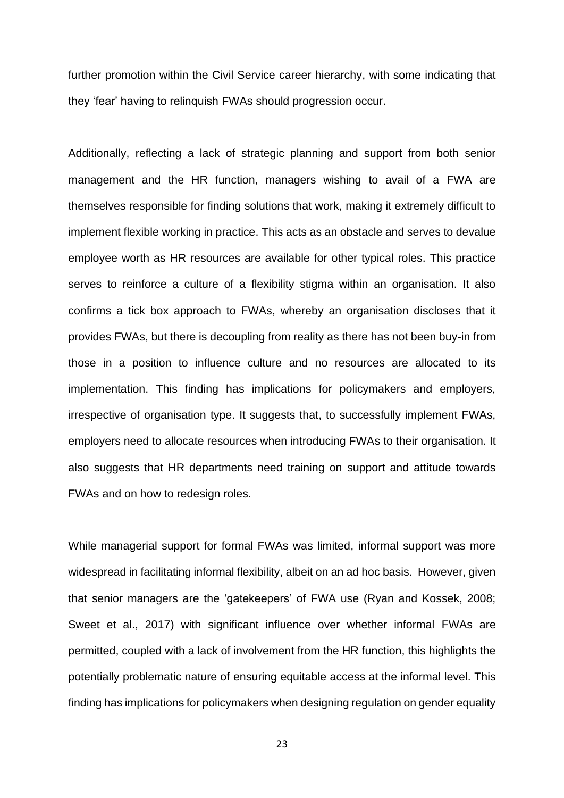further promotion within the Civil Service career hierarchy, with some indicating that they 'fear' having to relinquish FWAs should progression occur.

Additionally, reflecting a lack of strategic planning and support from both senior management and the HR function, managers wishing to avail of a FWA are themselves responsible for finding solutions that work, making it extremely difficult to implement flexible working in practice. This acts as an obstacle and serves to devalue employee worth as HR resources are available for other typical roles. This practice serves to reinforce a culture of a flexibility stigma within an organisation. It also confirms a tick box approach to FWAs, whereby an organisation discloses that it provides FWAs, but there is decoupling from reality as there has not been buy-in from those in a position to influence culture and no resources are allocated to its implementation. This finding has implications for policymakers and employers, irrespective of organisation type. It suggests that, to successfully implement FWAs, employers need to allocate resources when introducing FWAs to their organisation. It also suggests that HR departments need training on support and attitude towards FWAs and on how to redesign roles.

While managerial support for formal FWAs was limited, informal support was more widespread in facilitating informal flexibility, albeit on an ad hoc basis. However, given that senior managers are the 'gatekeepers' of FWA use (Ryan and Kossek, 2008; Sweet et al., 2017) with significant influence over whether informal FWAs are permitted, coupled with a lack of involvement from the HR function, this highlights the potentially problematic nature of ensuring equitable access at the informal level. This finding has implications for policymakers when designing regulation on gender equality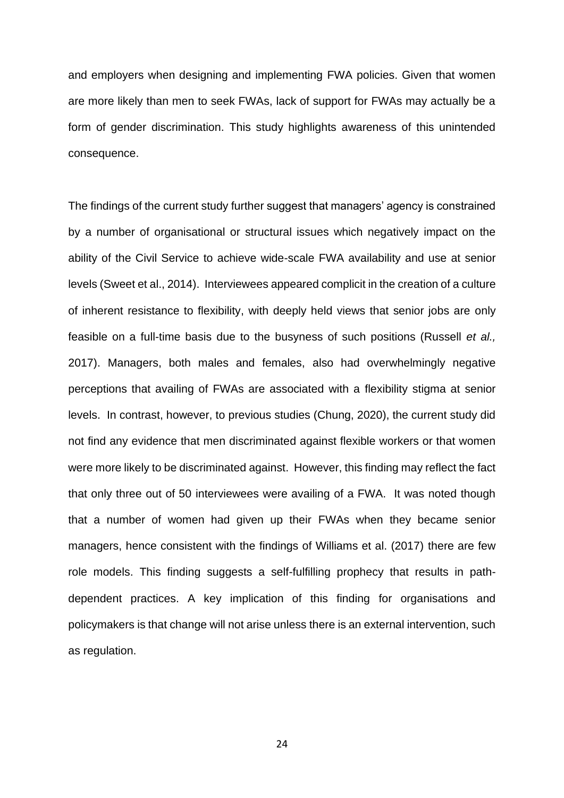and employers when designing and implementing FWA policies. Given that women are more likely than men to seek FWAs, lack of support for FWAs may actually be a form of gender discrimination. This study highlights awareness of this unintended consequence.

The findings of the current study further suggest that managers' agency is constrained by a number of organisational or structural issues which negatively impact on the ability of the Civil Service to achieve wide-scale FWA availability and use at senior levels (Sweet et al., 2014). Interviewees appeared complicit in the creation of a culture of inherent resistance to flexibility, with deeply held views that senior jobs are only feasible on a full-time basis due to the busyness of such positions (Russell *et al.,* 2017). Managers, both males and females, also had overwhelmingly negative perceptions that availing of FWAs are associated with a flexibility stigma at senior levels. In contrast, however, to previous studies (Chung, 2020), the current study did not find any evidence that men discriminated against flexible workers or that women were more likely to be discriminated against. However, this finding may reflect the fact that only three out of 50 interviewees were availing of a FWA. It was noted though that a number of women had given up their FWAs when they became senior managers, hence consistent with the findings of Williams et al. (2017) there are few role models. This finding suggests a self-fulfilling prophecy that results in pathdependent practices. A key implication of this finding for organisations and policymakers is that change will not arise unless there is an external intervention, such as regulation.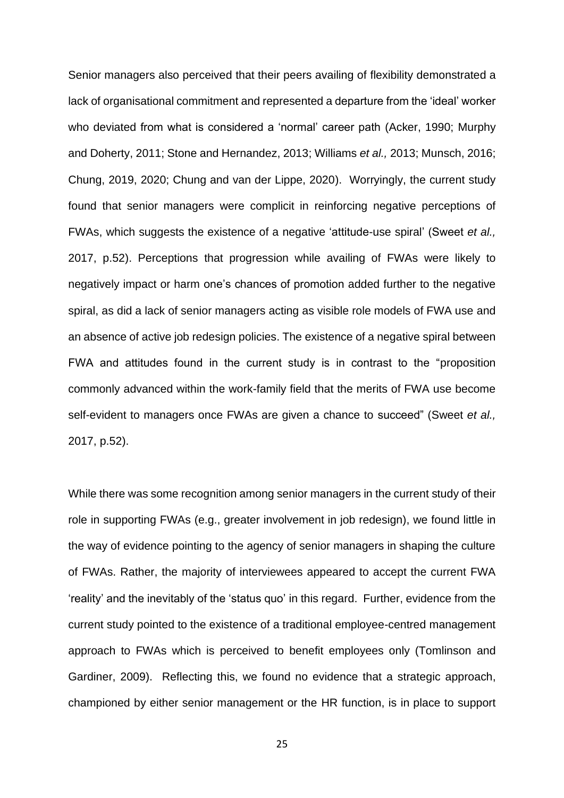Senior managers also perceived that their peers availing of flexibility demonstrated a lack of organisational commitment and represented a departure from the 'ideal' worker who deviated from what is considered a 'normal' career path (Acker, 1990; Murphy and Doherty, 2011; Stone and Hernandez, 2013; Williams *et al.,* 2013; Munsch, 2016; Chung, 2019, 2020; Chung and van der Lippe, 2020). Worryingly, the current study found that senior managers were complicit in reinforcing negative perceptions of FWAs, which suggests the existence of a negative 'attitude-use spiral' (Sweet *et al.,*  2017, p.52). Perceptions that progression while availing of FWAs were likely to negatively impact or harm one's chances of promotion added further to the negative spiral, as did a lack of senior managers acting as visible role models of FWA use and an absence of active job redesign policies. The existence of a negative spiral between FWA and attitudes found in the current study is in contrast to the "proposition commonly advanced within the work-family field that the merits of FWA use become self-evident to managers once FWAs are given a chance to succeed" (Sweet *et al.,*  2017, p.52).

While there was some recognition among senior managers in the current study of their role in supporting FWAs (e.g., greater involvement in job redesign), we found little in the way of evidence pointing to the agency of senior managers in shaping the culture of FWAs. Rather, the majority of interviewees appeared to accept the current FWA 'reality' and the inevitably of the 'status quo' in this regard. Further, evidence from the current study pointed to the existence of a traditional employee-centred management approach to FWAs which is perceived to benefit employees only (Tomlinson and Gardiner, 2009). Reflecting this, we found no evidence that a strategic approach, championed by either senior management or the HR function, is in place to support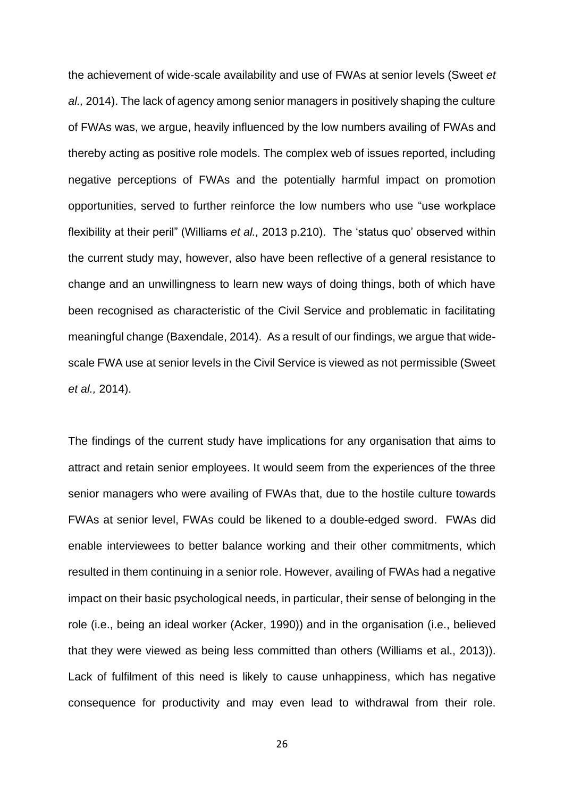the achievement of wide-scale availability and use of FWAs at senior levels (Sweet *et al.,* 2014). The lack of agency among senior managers in positively shaping the culture of FWAs was, we argue, heavily influenced by the low numbers availing of FWAs and thereby acting as positive role models. The complex web of issues reported, including negative perceptions of FWAs and the potentially harmful impact on promotion opportunities, served to further reinforce the low numbers who use "use workplace flexibility at their peril" (Williams *et al.,* 2013 p.210). The 'status quo' observed within the current study may, however, also have been reflective of a general resistance to change and an unwillingness to learn new ways of doing things, both of which have been recognised as characteristic of the Civil Service and problematic in facilitating meaningful change (Baxendale, 2014). As a result of our findings, we argue that widescale FWA use at senior levels in the Civil Service is viewed as not permissible (Sweet *et al.,* 2014).

The findings of the current study have implications for any organisation that aims to attract and retain senior employees. It would seem from the experiences of the three senior managers who were availing of FWAs that, due to the hostile culture towards FWAs at senior level, FWAs could be likened to a double-edged sword. FWAs did enable interviewees to better balance working and their other commitments, which resulted in them continuing in a senior role. However, availing of FWAs had a negative impact on their basic psychological needs, in particular, their sense of belonging in the role (i.e., being an ideal worker (Acker, 1990)) and in the organisation (i.e., believed that they were viewed as being less committed than others (Williams et al., 2013)). Lack of fulfilment of this need is likely to cause unhappiness, which has negative consequence for productivity and may even lead to withdrawal from their role.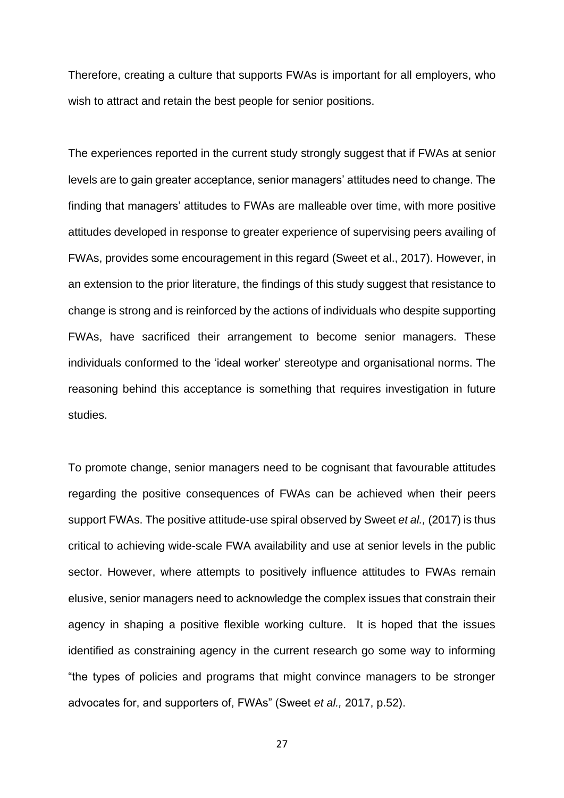Therefore, creating a culture that supports FWAs is important for all employers, who wish to attract and retain the best people for senior positions.

The experiences reported in the current study strongly suggest that if FWAs at senior levels are to gain greater acceptance, senior managers' attitudes need to change. The finding that managers' attitudes to FWAs are malleable over time, with more positive attitudes developed in response to greater experience of supervising peers availing of FWAs, provides some encouragement in this regard (Sweet et al., 2017). However, in an extension to the prior literature, the findings of this study suggest that resistance to change is strong and is reinforced by the actions of individuals who despite supporting FWAs, have sacrificed their arrangement to become senior managers. These individuals conformed to the 'ideal worker' stereotype and organisational norms. The reasoning behind this acceptance is something that requires investigation in future studies.

To promote change, senior managers need to be cognisant that favourable attitudes regarding the positive consequences of FWAs can be achieved when their peers support FWAs. The positive attitude-use spiral observed by Sweet *et al.,* (2017) is thus critical to achieving wide-scale FWA availability and use at senior levels in the public sector. However, where attempts to positively influence attitudes to FWAs remain elusive, senior managers need to acknowledge the complex issues that constrain their agency in shaping a positive flexible working culture. It is hoped that the issues identified as constraining agency in the current research go some way to informing "the types of policies and programs that might convince managers to be stronger advocates for, and supporters of, FWAs" (Sweet *et al.,* 2017, p.52).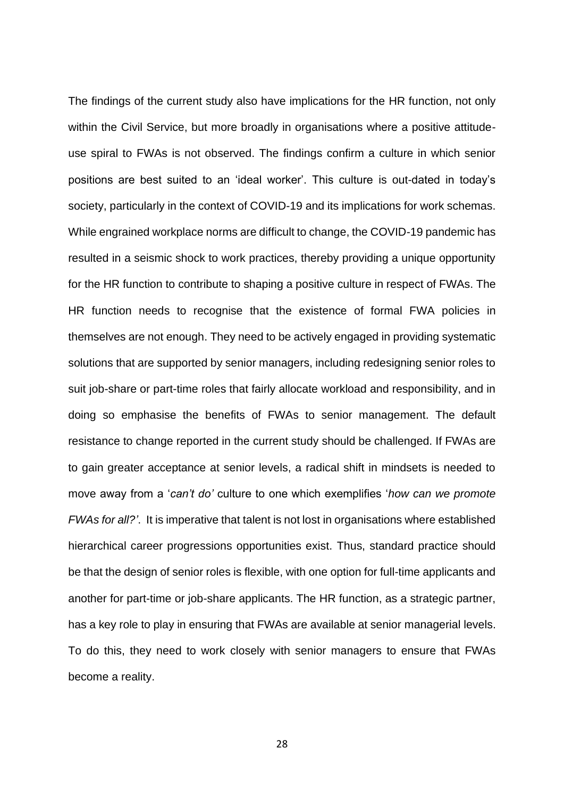The findings of the current study also have implications for the HR function, not only within the Civil Service, but more broadly in organisations where a positive attitudeuse spiral to FWAs is not observed. The findings confirm a culture in which senior positions are best suited to an 'ideal worker'. This culture is out-dated in today's society, particularly in the context of COVID-19 and its implications for work schemas. While engrained workplace norms are difficult to change, the COVID-19 pandemic has resulted in a seismic shock to work practices, thereby providing a unique opportunity for the HR function to contribute to shaping a positive culture in respect of FWAs. The HR function needs to recognise that the existence of formal FWA policies in themselves are not enough. They need to be actively engaged in providing systematic solutions that are supported by senior managers, including redesigning senior roles to suit job-share or part-time roles that fairly allocate workload and responsibility, and in doing so emphasise the benefits of FWAs to senior management. The default resistance to change reported in the current study should be challenged. If FWAs are to gain greater acceptance at senior levels, a radical shift in mindsets is needed to move away from a '*can't do'* culture to one which exemplifies '*how can we promote FWAs for all?'*. It is imperative that talent is not lost in organisations where established hierarchical career progressions opportunities exist. Thus, standard practice should be that the design of senior roles is flexible, with one option for full-time applicants and another for part-time or job-share applicants. The HR function, as a strategic partner, has a key role to play in ensuring that FWAs are available at senior managerial levels. To do this, they need to work closely with senior managers to ensure that FWAs become a reality.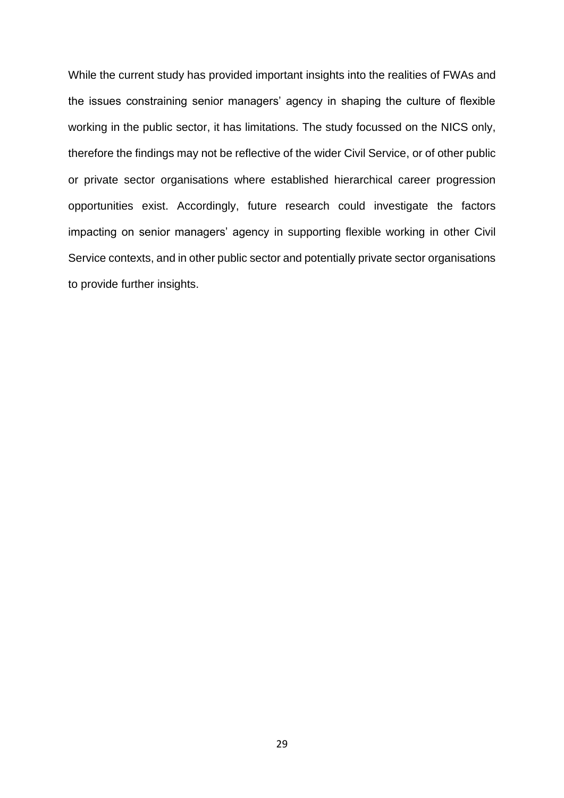While the current study has provided important insights into the realities of FWAs and the issues constraining senior managers' agency in shaping the culture of flexible working in the public sector, it has limitations. The study focussed on the NICS only, therefore the findings may not be reflective of the wider Civil Service, or of other public or private sector organisations where established hierarchical career progression opportunities exist. Accordingly, future research could investigate the factors impacting on senior managers' agency in supporting flexible working in other Civil Service contexts, and in other public sector and potentially private sector organisations to provide further insights.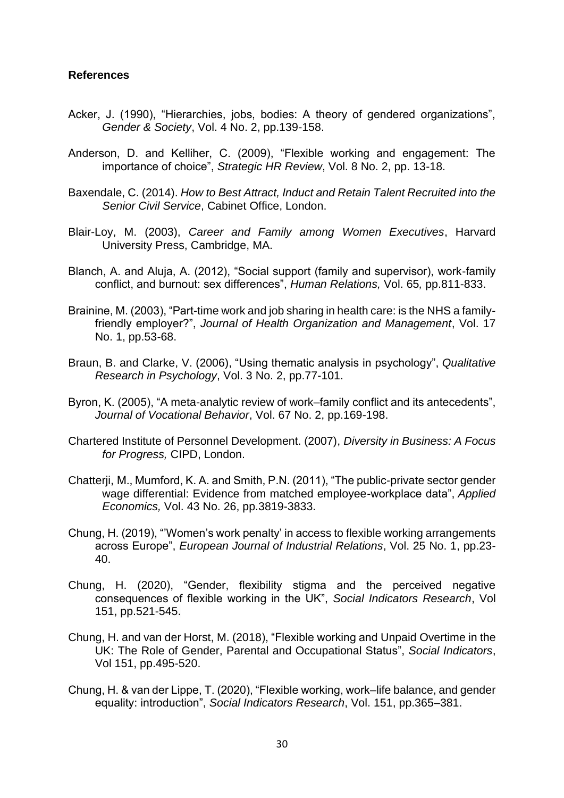## **References**

- Acker, J. (1990), "Hierarchies, jobs, bodies: A theory of gendered organizations", *Gender & Society*, Vol. 4 No. 2, pp.139-158.
- Anderson, D. and Kelliher, C. (2009), "Flexible working and engagement: The importance of choice", *Strategic HR Review*, Vol. 8 No. 2, pp. 13-18.
- Baxendale, C. (2014). *How to Best Attract, Induct and Retain Talent Recruited into the Senior Civil Service*, Cabinet Office, London.
- Blair-Loy, M. (2003), *Career and Family among Women Executives*, Harvard University Press, Cambridge, MA.
- Blanch, A. and Aluja, A. (2012), "Social support (family and supervisor), work-family conflict, and burnout: sex differences", *Human Relations,* Vol. 65*,* pp.811-833.
- Brainine, M. (2003), "Part-time work and job sharing in health care: is the NHS a familyfriendly employer?", *Journal of Health Organization and Management*, Vol. 17 No. 1, pp.53-68.
- Braun, B. and Clarke, V. (2006), "Using thematic analysis in psychology", *Qualitative Research in Psychology*, Vol. 3 No. 2, pp.77-101.
- Byron, K. (2005), "A meta-analytic review of work–family conflict and its antecedents", *Journal of Vocational Behavior*, Vol. 67 No. 2, pp.169-198.
- Chartered Institute of Personnel Development. (2007), *Diversity in Business: A Focus for Progress,* CIPD, London.
- Chatterji, M., Mumford, K. A. and Smith, P.N. (2011), "The public-private sector gender wage differential: Evidence from matched employee-workplace data", *Applied Economics,* Vol. 43 No. 26, pp.3819-3833.
- Chung, H. (2019), "'Women's work penalty' in access to flexible working arrangements across Europe", *European Journal of Industrial Relations*, Vol. 25 No. 1, pp.23- 40.
- Chung, H. (2020), "Gender, flexibility stigma and the perceived negative consequences of flexible working in the UK", *Social Indicators Research*, Vol 151, pp.521-545.
- Chung, H. and van der Horst, M. (2018), "Flexible working and Unpaid Overtime in the UK: The Role of Gender, Parental and Occupational Status", *Social Indicators*, Vol 151, pp.495-520.
- Chung, H. & van der Lippe, T. (2020), "Flexible working, work–life balance, and gender equality: introduction", *Social Indicators Research*, Vol. 151, pp.365–381.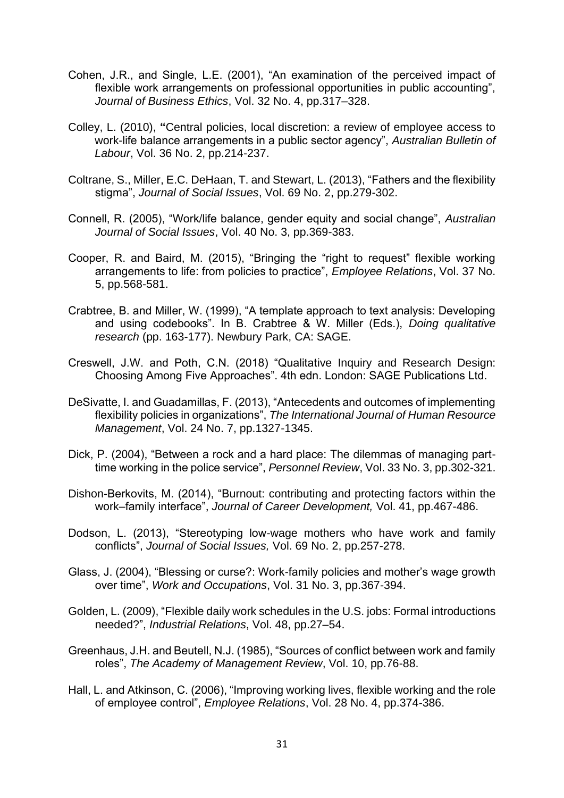- Cohen, J.R., and Single, L.E. (2001), "An examination of the perceived impact of flexible work arrangements on professional opportunities in public accounting", *Journal of Business Ethics*, Vol. 32 No. 4, pp.317–328.
- Colley, L. (2010), **"**Central policies, local discretion: a review of employee access to work-life balance arrangements in a public sector agency", *Australian Bulletin of Labour*, Vol. 36 No. 2, pp.214-237.
- Coltrane, S., Miller, E.C. DeHaan, T. and Stewart, L. (2013), "Fathers and the flexibility stigma", *Journal of Social Issues*, Vol. 69 No. 2, pp.279-302.
- Connell, R. (2005), "Work/life balance, gender equity and social change", *Australian Journal of Social Issues*, Vol. 40 No. 3, pp.369-383.
- Cooper, R. and Baird, M. (2015), "Bringing the "right to request" flexible working arrangements to life: from policies to practice", *Employee Relations*, Vol. 37 No. 5, pp.568-581.
- Crabtree, B. and Miller, W. (1999), "A template approach to text analysis: Developing and using codebooks". In B. Crabtree & W. Miller (Eds.), *Doing qualitative research* (pp. 163-177). Newbury Park, CA: SAGE.
- Creswell, J.W. and Poth, C.N. (2018) "Qualitative Inquiry and Research Design: Choosing Among Five Approaches". 4th edn. London: SAGE Publications Ltd.
- DeSivatte, I. and Guadamillas, F. (2013), "Antecedents and outcomes of implementing flexibility policies in organizations", *The International Journal of Human Resource Management*, Vol. 24 No. 7, pp.1327-1345.
- Dick, P. (2004), "Between a rock and a hard place: The dilemmas of managing parttime working in the police service", *Personnel Review*, Vol. 33 No. 3, pp.302-321.
- Dishon-Berkovits, M. (2014), "Burnout: contributing and protecting factors within the work–family interface", *Journal of Career Development,* Vol. 41, pp.467-486.
- Dodson, L. (2013), "Stereotyping low-wage mothers who have work and family conflicts", *Journal of Social Issues,* Vol. 69 No. 2, pp.257-278.
- Glass, J. (2004), "Blessing or curse?: Work-family policies and mother's wage growth over time", *Work and Occupations*, Vol. 31 No. 3, pp.367-394.
- Golden, L. (2009), "Flexible daily work schedules in the U.S. jobs: Formal introductions needed?", *Industrial Relations*, Vol. 48, pp.27–54.
- Greenhaus, J.H. and Beutell, N.J. (1985), "Sources of conflict between work and family roles", *The Academy of Management Review*, Vol. 10, pp.76-88.
- Hall, L. and Atkinson, C. (2006), "Improving working lives, flexible working and the role of employee control", *Employee Relations*, Vol. 28 No. 4, pp.374-386.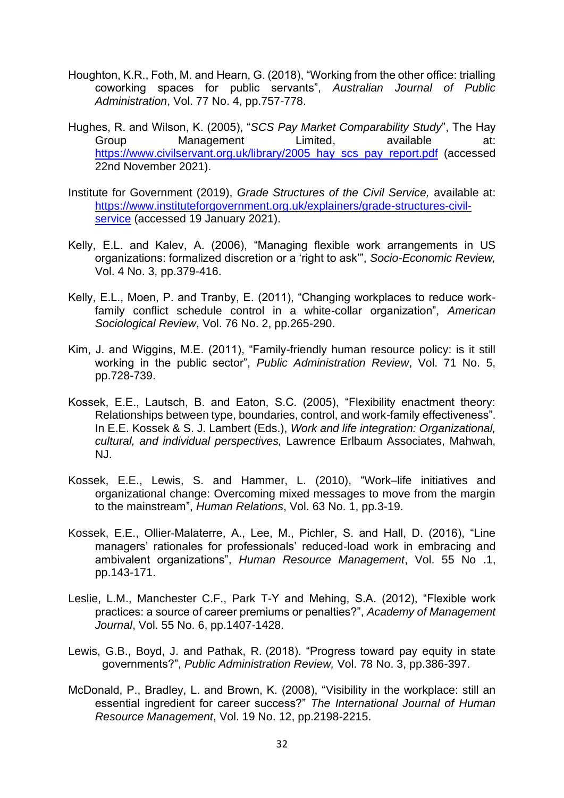- Houghton, K.R., Foth, M. and Hearn, G. (2018), "Working from the other office: trialling coworking spaces for public servants", *Australian Journal of Public Administration*, Vol. 77 No. 4, pp.757-778.
- Hughes, R. and Wilson, K. (2005), "*SCS Pay Market Comparability Study*", The Hay Group Management Limited, available at: https://www.civilservant.org.uk/library/2005\_hay\_scs\_pay\_report.pdf (accessed 22nd November 2021).
- Institute for Government (2019), *Grade Structures of the Civil Service,* available at: [https://www.instituteforgovernment.org.uk/explainers/grade-structures-civil](about:blank)[service](about:blank) (accessed 19 January 2021).
- Kelly, E.L. and Kalev, A. (2006), "Managing flexible work arrangements in US organizations: formalized discretion or a 'right to ask'", *Socio-Economic Review,* Vol. 4 No. 3, pp.379-416.
- Kelly, E.L., Moen, P. and Tranby, E. (2011), "Changing workplaces to reduce workfamily conflict schedule control in a white-collar organization", *American Sociological Review*, Vol. 76 No. 2, pp.265-290.
- Kim, J. and Wiggins, M.E. (2011), "Family-friendly human resource policy: is it still working in the public sector", *Public Administration Review*, Vol. 71 No. 5, pp.728-739.
- Kossek, E.E., Lautsch, B. and Eaton, S.C. (2005), "Flexibility enactment theory: Relationships between type, boundaries, control, and work-family effectiveness". In E.E. Kossek & S. J. Lambert (Eds.), *Work and life integration: Organizational, cultural, and individual perspectives,* Lawrence Erlbaum Associates, Mahwah, NJ.
- Kossek, E.E., Lewis, S. and Hammer, L. (2010), "Work–life initiatives and organizational change: Overcoming mixed messages to move from the margin to the mainstream", *Human Relations*, Vol. 63 No. 1, pp.3-19.
- Kossek, E.E., Ollier‐Malaterre, A., Lee, M., Pichler, S. and Hall, D. (2016), "Line managers' rationales for professionals' reduced‐load work in embracing and ambivalent organizations", *Human Resource Management*, Vol. 55 No .1, pp.143-171.
- Leslie, L.M., Manchester C.F., Park T-Y and Mehing, S.A. (2012), "Flexible work practices: a source of career premiums or penalties?", *Academy of Management Journal*, Vol. 55 No. 6, pp.1407-1428.
- Lewis, G.B., Boyd, J. and Pathak, R. (2018). "Progress toward pay equity in state governments?", *Public Administration Review,* Vol. 78 No. 3, pp.386-397.
- McDonald, P., Bradley, L. and Brown, K. (2008), "Visibility in the workplace: still an essential ingredient for career success?" *The International Journal of Human Resource Management*, Vol. 19 No. 12, pp.2198-2215.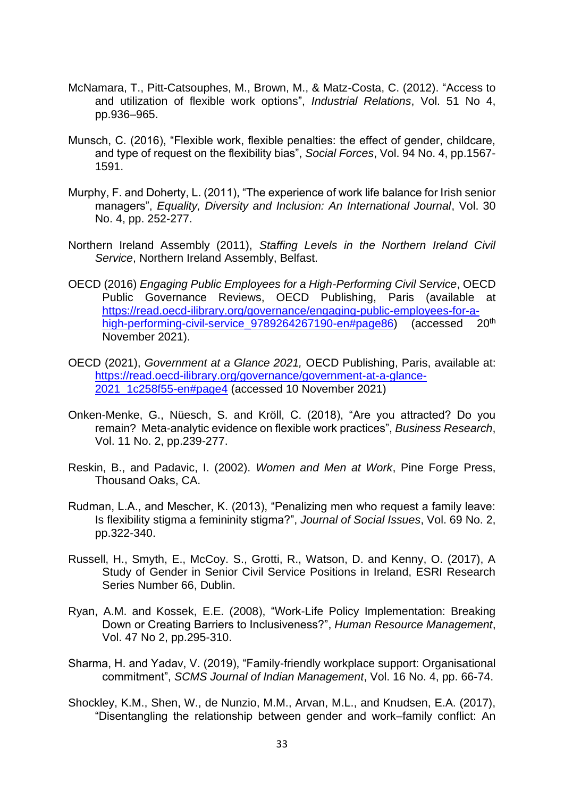- McNamara, T., Pitt-Catsouphes, M., Brown, M., & Matz-Costa, C. (2012). "Access to and utilization of flexible work options", *Industrial Relations*, Vol. 51 No 4, pp.936–965.
- Munsch, C. (2016), "Flexible work, flexible penalties: the effect of gender, childcare, and type of request on the flexibility bias", *Social Forces*, Vol. 94 No. 4, pp.1567- 1591.
- Murphy, F. and Doherty, L. (2011), "The experience of work life balance for Irish senior managers", *Equality, Diversity and Inclusion: An International Journal*, Vol. 30 No. 4, pp. 252-277.
- Northern Ireland Assembly (2011), *Staffing Levels in the Northern Ireland Civil Service*, Northern Ireland Assembly, Belfast.
- OECD (2016) *Engaging Public Employees for a High-Performing Civil Service*, OECD Public Governance Reviews, OECD Publishing, Paris (available at https://read.oecd-ilibrary.org/governance/engaging-public-employees-for-ahigh-performing-civil-service 9789264267190-en#page86) (accessed 20<sup>th</sup> November 2021).
- OECD (2021), *Government at a Glance 2021,* OECD Publishing, Paris, available at: https://read.oecd-ilibrary.org/governance/government-at-a-glance-2021\_1c258f55-en#page4 (accessed 10 November 2021)
- Onken-Menke, G., Nüesch, S. and Kröll, C. (2018), "Are you attracted? Do you remain? Meta-analytic evidence on flexible work practices", *Business Research*, Vol. 11 No. 2, pp.239-277.
- Reskin, B., and Padavic, I. (2002). *Women and Men at Work*, Pine Forge Press, Thousand Oaks, CA.
- Rudman, L.A., and Mescher, K. (2013), "Penalizing men who request a family leave: Is flexibility stigma a femininity stigma?", *Journal of Social Issues*, Vol. 69 No. 2, pp.322-340.
- Russell, H., Smyth, E., McCoy. S., Grotti, R., Watson, D. and Kenny, O. (2017), A Study of Gender in Senior Civil Service Positions in Ireland, ESRI Research Series Number 66, Dublin.
- Ryan, A.M. and Kossek, E.E. (2008), "Work-Life Policy Implementation: Breaking Down or Creating Barriers to Inclusiveness?", *Human Resource Management*, Vol. 47 No 2, pp.295-310.
- Sharma, H. and Yadav, V. (2019), "Family-friendly workplace support: Organisational commitment", *SCMS Journal of Indian Management*, Vol. 16 No. 4, pp. 66-74.
- Shockley, K.M., Shen, W., de Nunzio, M.M., Arvan, M.L., and Knudsen, E.A. (2017), "Disentangling the relationship between gender and work–family conflict: An